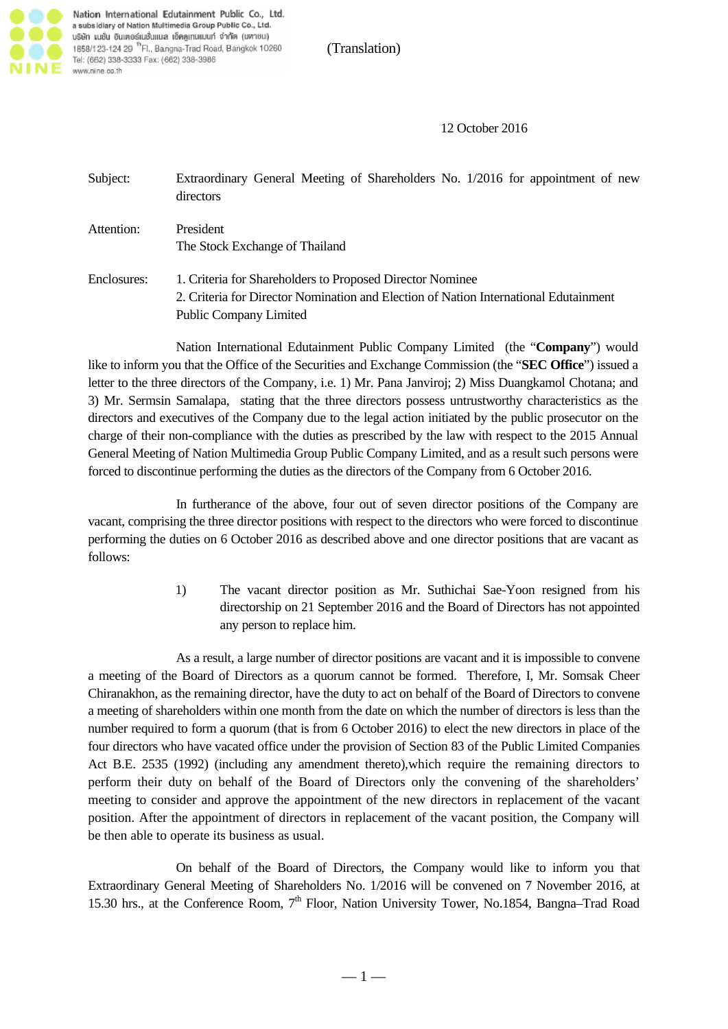

Nation International Edutainment Public Co., Ltd. a subsidiary of Nation Multimedia Group Public Co., Ltd. บริษัท แนชั่น อินเตอร์เนชั่นแนล เอ็ดดูเทนแมนท์ จำกัด (มหาชน) 1858/123-124 29 <sup>th</sup> Fl., Bangna-Trad Road, Bangkok 10260 Tel: (662) 338-3333 Fax: (662) 338-3986 www.nine.co.th

(Translation)

12 October 2016

| Subject:    | Extraordinary General Meeting of Shareholders No. 1/2016 for appointment of new<br>directors                                                                                       |
|-------------|------------------------------------------------------------------------------------------------------------------------------------------------------------------------------------|
| Attention:  | President<br>The Stock Exchange of Thailand                                                                                                                                        |
| Enclosures: | 1. Criteria for Shareholders to Proposed Director Nominee<br>2. Criteria for Director Nomination and Election of Nation International Edutainment<br><b>Public Company Limited</b> |

Nation International Edutainment Public Company Limited (the "**Company**") would like to inform you that the Office of the Securities and Exchange Commission (the "**SEC Office**") issued a letter to the three directors of the Company, i.e. 1) Mr. Pana Janviroj; 2) Miss Duangkamol Chotana; and 3) Mr. Sermsin Samalapa, stating that the three directors possess untrustworthy characteristics as the directors and executives of the Company due to the legal action initiated by the public prosecutor on the charge of their non-compliance with the duties as prescribed by the law with respect to the 2015 Annual General Meeting of Nation Multimedia Group Public Company Limited, and as a result such persons were forced to discontinue performing the duties as the directors of the Company from 6 October 2016.

In furtherance of the above, four out of seven director positions of the Company are vacant, comprising the three director positions with respect to the directors who were forced to discontinue performing the duties on 6 October 2016 as described above and one director positions that are vacant as follows:

> 1) The vacant director position as Mr. Suthichai Sae-Yoon resigned from his directorship on 21 September 2016 and the Board of Directors has not appointed any person to replace him.

As a result, a large number of director positions are vacant and it is impossible to convene a meeting of the Board of Directors as a quorum cannot be formed. Therefore, I, Mr. Somsak Cheer Chiranakhon, as the remaining director, have the duty to act on behalf of the Board of Directors to convene a meeting of shareholders within one month from the date on which the number of directors is less than the number required to form a quorum (that is from 6 October 2016) to elect the new directors in place of the four directors who have vacated office under the provision of Section 83 of the Public Limited Companies Act B.E. 2535 (1992) (including any amendment thereto),which require the remaining directors to perform their duty on behalf of the Board of Directors only the convening of the shareholders' meeting to consider and approve the appointment of the new directors in replacement of the vacant position. After the appointment of directors in replacement of the vacant position, the Company will be then able to operate its business as usual.

On behalf of the Board of Directors, the Company would like to inform you that Extraordinary General Meeting of Shareholders No. 1/2016 will be convened on 7 November 2016, at 15.30 hrs., at the Conference Room, 7<sup>th</sup> Floor, Nation University Tower, No.1854, Bangna–Trad Road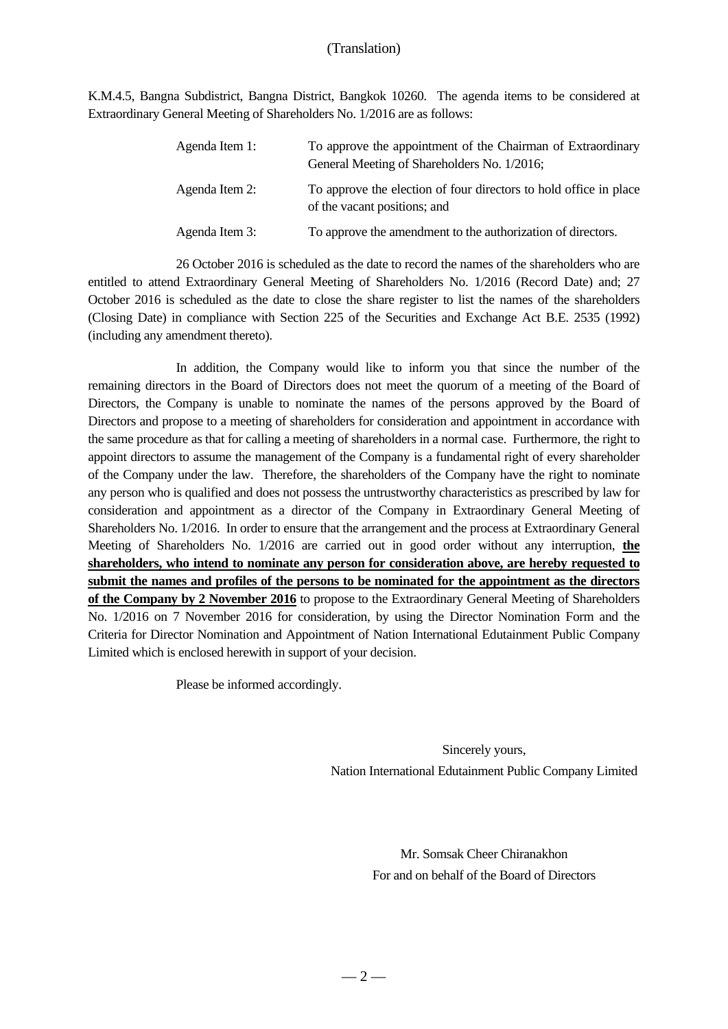K.M.4.5, Bangna Subdistrict, Bangna District, Bangkok 10260. The agenda items to be considered at Extraordinary General Meeting of Shareholders No. 1/2016 are as follows:

| Agenda Item 1: | To approve the appointment of the Chairman of Extraordinary<br>General Meeting of Shareholders No. 1/2016; |
|----------------|------------------------------------------------------------------------------------------------------------|
| Agenda Item 2: | To approve the election of four directors to hold office in place<br>of the vacant positions; and          |
| Agenda Item 3: | To approve the amendment to the authorization of directors.                                                |

26 October 2016 is scheduled as the date to record the names of the shareholders who are entitled to attend Extraordinary General Meeting of Shareholders No. 1/2016 (Record Date) and; 27 October 2016 is scheduled as the date to close the share register to list the names of the shareholders (Closing Date) in compliance with Section 225 of the Securities and Exchange Act B.E. 2535 (1992) (including any amendment thereto).

In addition, the Company would like to inform you that since the number of the remaining directors in the Board of Directors does not meet the quorum of a meeting of the Board of Directors, the Company is unable to nominate the names of the persons approved by the Board of Directors and propose to a meeting of shareholders for consideration and appointment in accordance with the same procedure as that for calling a meeting of shareholders in a normal case. Furthermore, the right to appoint directors to assume the management of the Company is a fundamental right of every shareholder of the Company under the law. Therefore, the shareholders of the Company have the right to nominate any person who is qualified and does not possess the untrustworthy characteristics as prescribed by law for consideration and appointment as a director of the Company in Extraordinary General Meeting of Shareholders No. 1/2016. In order to ensure that the arrangement and the process at Extraordinary General Meeting of Shareholders No. 1/2016 are carried out in good order without any interruption, **the shareholders, who intend to nominate any person for consideration above, are hereby requested to submit the names and profiles of the persons to be nominated for the appointment as the directors of the Company by 2 November 2016** to propose to the Extraordinary General Meeting of Shareholders No. 1/2016 on 7 November 2016 for consideration, by using the Director Nomination Form and the Criteria for Director Nomination and Appointment of Nation International Edutainment Public Company Limited which is enclosed herewith in support of your decision.

Please be informed accordingly.

 Sincerely yours, Nation International Edutainment Public Company Limited

> Mr. Somsak Cheer Chiranakhon For and on behalf of the Board of Directors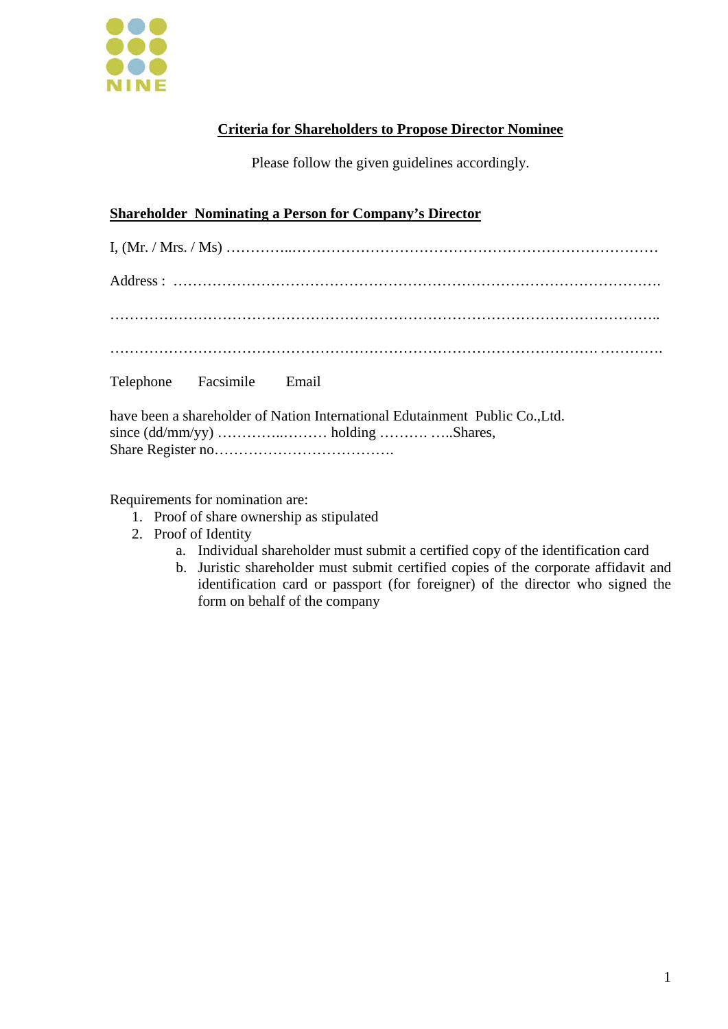

## **Criteria for Shareholders to Propose Director Nominee**

Please follow the given guidelines accordingly.

## **Shareholder Nominating a Person for Company's Director**

| Telephone Facsimile Email |  |
|---------------------------|--|

have been a shareholder of Nation International Edutainment Public Co.,Ltd. since (dd/mm/yy) ……………………… holding ……………… Shares, Share Register no……………………………….

Requirements for nomination are:

- 1. Proof of share ownership as stipulated
- 2. Proof of Identity
	- a. Individual shareholder must submit a certified copy of the identification card
	- b. Juristic shareholder must submit certified copies of the corporate affidavit and identification card or passport (for foreigner) of the director who signed the form on behalf of the company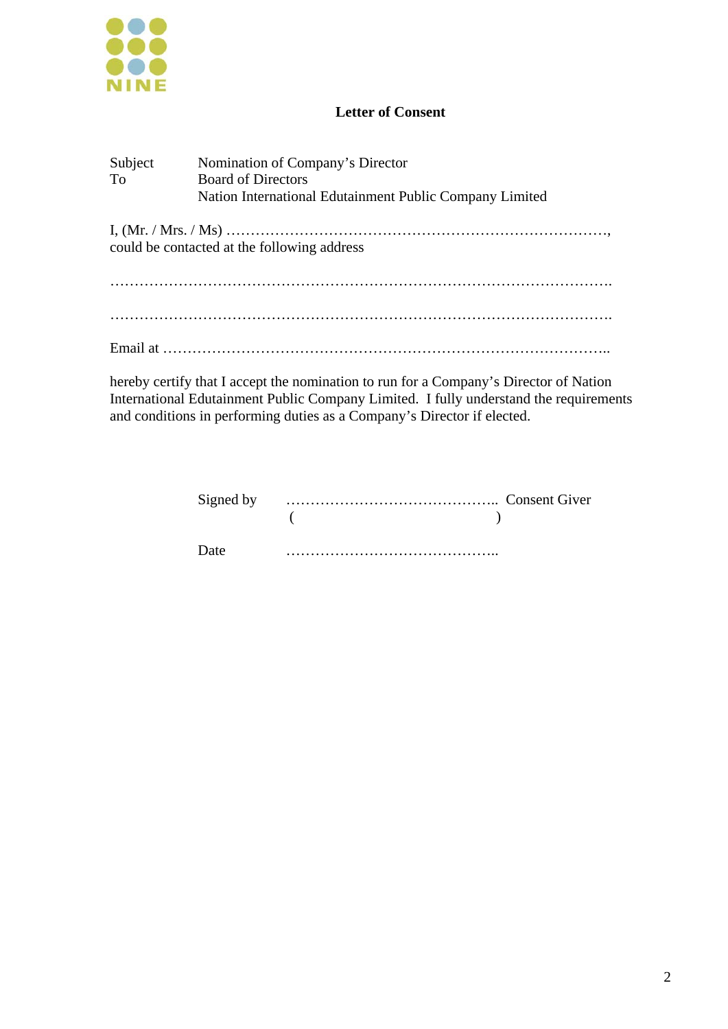

#### **Letter of Consent**

| Subject<br><b>To</b> | Nomination of Company's Director<br><b>Board of Directors</b> |
|----------------------|---------------------------------------------------------------|
|                      | Nation International Edutainment Public Company Limited       |
|                      |                                                               |
|                      | could be contacted at the following address                   |
|                      |                                                               |
|                      |                                                               |
|                      |                                                               |
|                      |                                                               |
|                      |                                                               |

hereby certify that I accept the nomination to run for a Company's Director of Nation International Edutainment Public Company Limited. I fully understand the requirements and conditions in performing duties as a Company's Director if elected.

|      | $($ ) |  |
|------|-------|--|
| Date |       |  |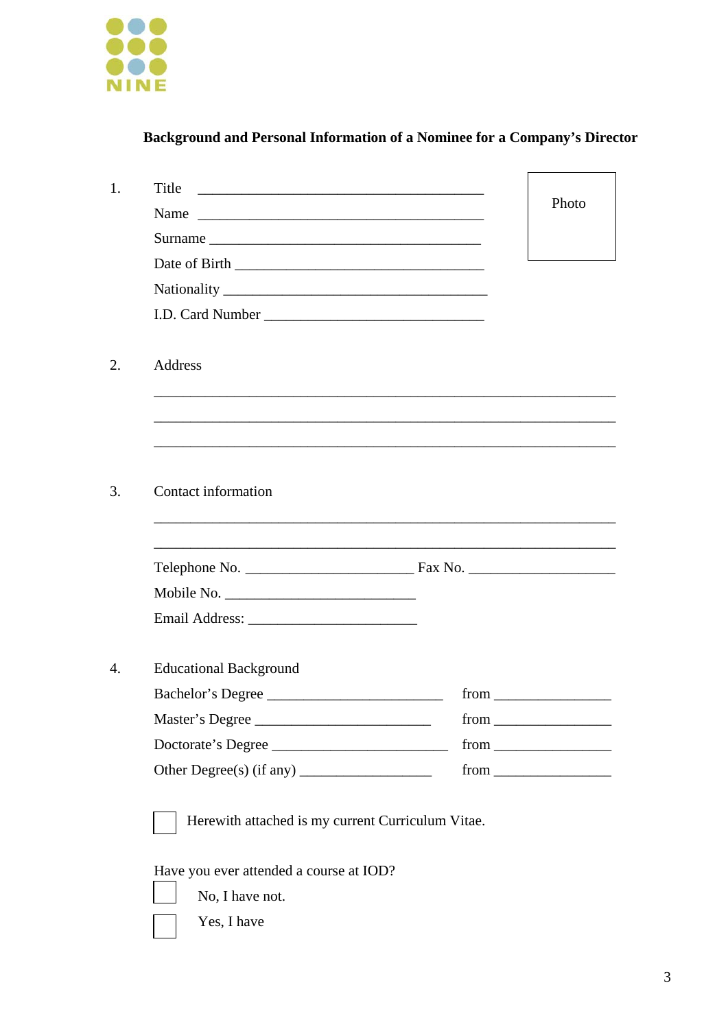

# **Background and Personal Information of a Nominee for a Company's Director**

|                               | Photo                 |
|-------------------------------|-----------------------|
| Surname                       |                       |
|                               |                       |
|                               |                       |
| I.D. Card Number              |                       |
| Address                       |                       |
|                               |                       |
|                               |                       |
| Contact information           |                       |
|                               |                       |
|                               |                       |
|                               |                       |
|                               |                       |
| <b>Educational Background</b> |                       |
| Bachelor's Degree             |                       |
| Master's Degree               | $from \_\_\_\_\_\_$   |
| Doctorate's Degree            | $from \_\_\_\_\_\_\_$ |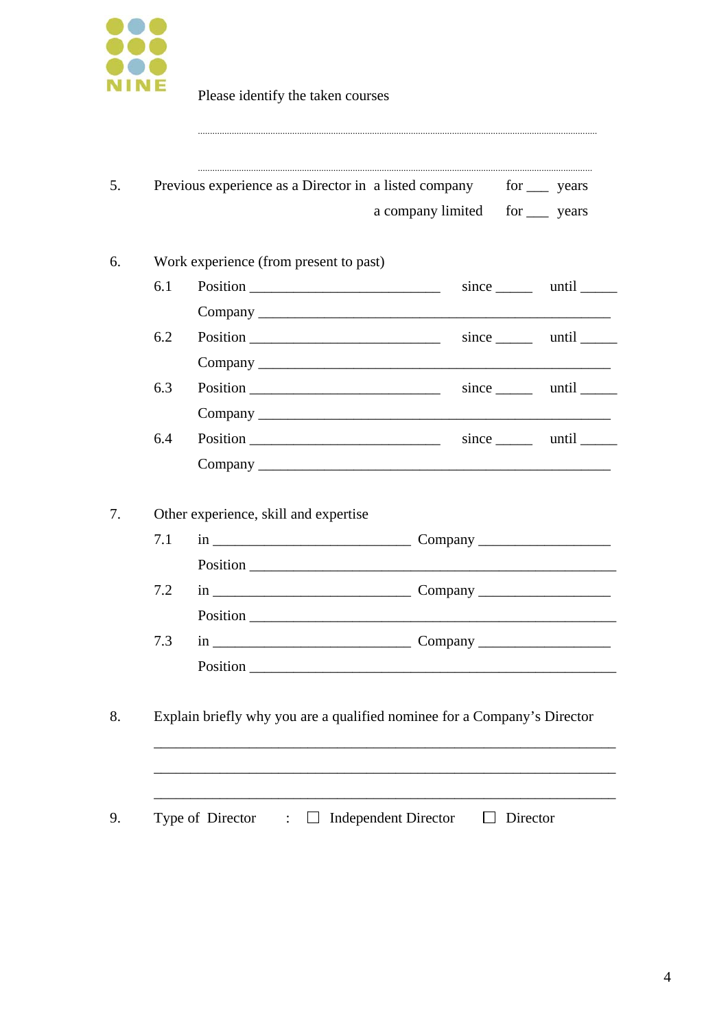

|     | Work experience (from present to past) |                               |
|-----|----------------------------------------|-------------------------------|
| 6.1 | $\frac{1}{1}$                          | since until                   |
|     |                                        |                               |
| 6.2 |                                        | $since \_\_\$ until $\_\_\_\$ |
|     |                                        |                               |
| 6.3 |                                        | since until                   |
|     |                                        |                               |
|     |                                        |                               |
| 6.4 |                                        |                               |
|     | Other experience, skill and expertise  |                               |
| 7.1 |                                        |                               |
|     |                                        |                               |
| 7.2 |                                        |                               |
|     |                                        |                               |
| 7.3 |                                        |                               |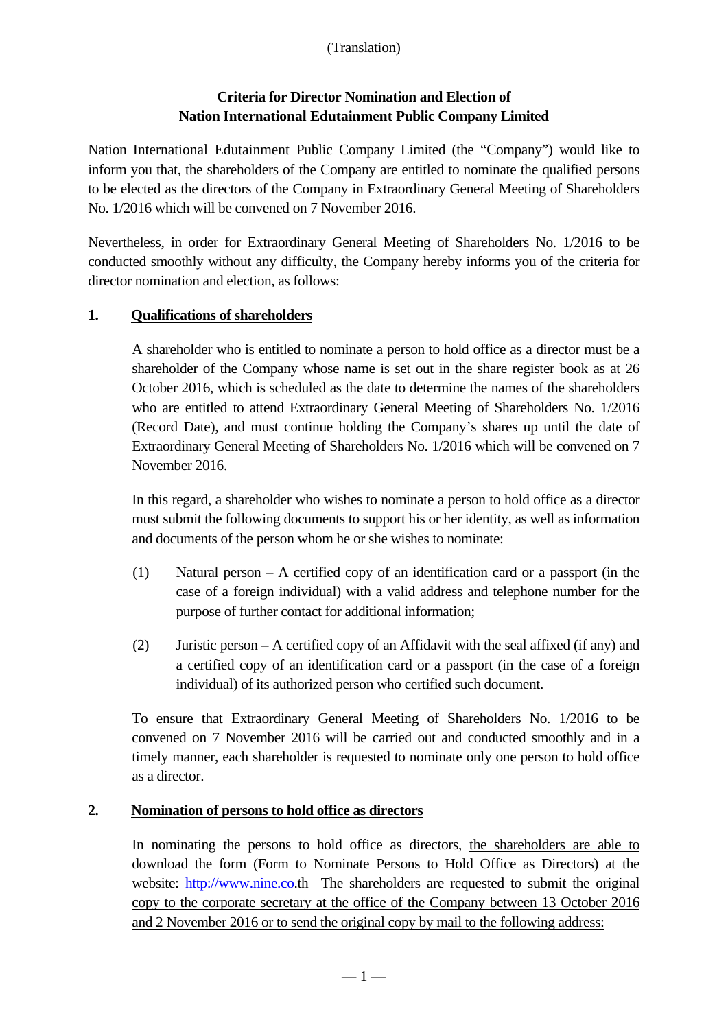## **Criteria for Director Nomination and Election of Nation International Edutainment Public Company Limited**

Nation International Edutainment Public Company Limited (the "Company") would like to inform you that, the shareholders of the Company are entitled to nominate the qualified persons to be elected as the directors of the Company in Extraordinary General Meeting of Shareholders No. 1/2016 which will be convened on 7 November 2016.

Nevertheless, in order for Extraordinary General Meeting of Shareholders No. 1/2016 to be conducted smoothly without any difficulty, the Company hereby informs you of the criteria for director nomination and election, as follows:

## **1. Qualifications of shareholders**

A shareholder who is entitled to nominate a person to hold office as a director must be a shareholder of the Company whose name is set out in the share register book as at 26 October 2016, which is scheduled as the date to determine the names of the shareholders who are entitled to attend Extraordinary General Meeting of Shareholders No. 1/2016 (Record Date), and must continue holding the Company's shares up until the date of Extraordinary General Meeting of Shareholders No. 1/2016 which will be convened on 7 November 2016.

In this regard, a shareholder who wishes to nominate a person to hold office as a director must submit the following documents to support his or her identity, as well as information and documents of the person whom he or she wishes to nominate:

- (1) Natural person A certified copy of an identification card or a passport (in the case of a foreign individual) with a valid address and telephone number for the purpose of further contact for additional information;
- (2) Juristic person A certified copy of an Affidavit with the seal affixed (if any) and a certified copy of an identification card or a passport (in the case of a foreign individual) of its authorized person who certified such document.

To ensure that Extraordinary General Meeting of Shareholders No. 1/2016 to be convened on 7 November 2016 will be carried out and conducted smoothly and in a timely manner, each shareholder is requested to nominate only one person to hold office as a director.

## **2. Nomination of persons to hold office as directors**

In nominating the persons to hold office as directors, the shareholders are able to download the form (Form to Nominate Persons to Hold Office as Directors) at the website: http://www.nine.co.th The shareholders are requested to submit the original copy to the corporate secretary at the office of the Company between 13 October 2016 and 2 November 2016 or to send the original copy by mail to the following address: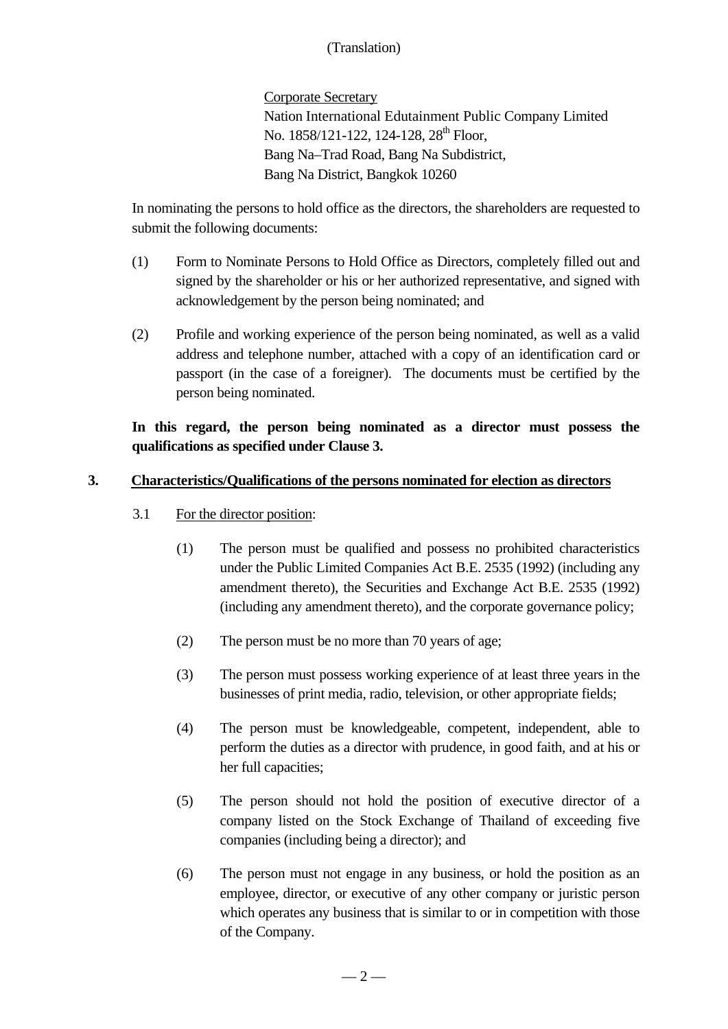Corporate Secretary Nation International Edutainment Public Company Limited No. 1858/121-122, 124-128, 28<sup>th</sup> Floor, Bang Na–Trad Road, Bang Na Subdistrict, Bang Na District, Bangkok 10260

In nominating the persons to hold office as the directors, the shareholders are requested to submit the following documents:

- (1) Form to Nominate Persons to Hold Office as Directors, completely filled out and signed by the shareholder or his or her authorized representative, and signed with acknowledgement by the person being nominated; and
- (2) Profile and working experience of the person being nominated, as well as a valid address and telephone number, attached with a copy of an identification card or passport (in the case of a foreigner). The documents must be certified by the person being nominated.

## **In this regard, the person being nominated as a director must possess the qualifications as specified under Clause 3.**

#### **3. Characteristics/Qualifications of the persons nominated for election as directors**

- 3.1 For the director position:
	- (1) The person must be qualified and possess no prohibited characteristics under the Public Limited Companies Act B.E. 2535 (1992) (including any amendment thereto), the Securities and Exchange Act B.E. 2535 (1992) (including any amendment thereto), and the corporate governance policy;
	- (2) The person must be no more than 70 years of age;
	- (3) The person must possess working experience of at least three years in the businesses of print media, radio, television, or other appropriate fields;
	- (4) The person must be knowledgeable, competent, independent, able to perform the duties as a director with prudence, in good faith, and at his or her full capacities;
	- (5) The person should not hold the position of executive director of a company listed on the Stock Exchange of Thailand of exceeding five companies (including being a director); and
	- (6) The person must not engage in any business, or hold the position as an employee, director, or executive of any other company or juristic person which operates any business that is similar to or in competition with those of the Company.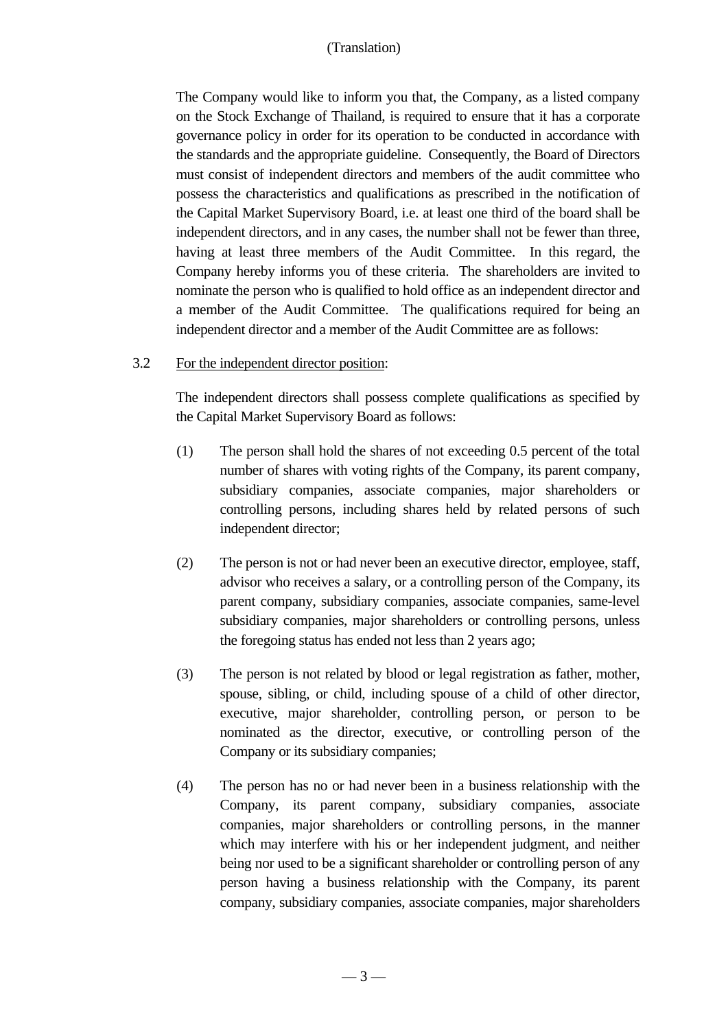The Company would like to inform you that, the Company, as a listed company on the Stock Exchange of Thailand, is required to ensure that it has a corporate governance policy in order for its operation to be conducted in accordance with the standards and the appropriate guideline. Consequently, the Board of Directors must consist of independent directors and members of the audit committee who possess the characteristics and qualifications as prescribed in the notification of the Capital Market Supervisory Board, i.e. at least one third of the board shall be independent directors, and in any cases, the number shall not be fewer than three, having at least three members of the Audit Committee. In this regard, the Company hereby informs you of these criteria. The shareholders are invited to nominate the person who is qualified to hold office as an independent director and a member of the Audit Committee. The qualifications required for being an independent director and a member of the Audit Committee are as follows:

#### 3.2 For the independent director position:

The independent directors shall possess complete qualifications as specified by the Capital Market Supervisory Board as follows:

- (1) The person shall hold the shares of not exceeding 0.5 percent of the total number of shares with voting rights of the Company, its parent company, subsidiary companies, associate companies, major shareholders or controlling persons, including shares held by related persons of such independent director;
- (2) The person is not or had never been an executive director, employee, staff, advisor who receives a salary, or a controlling person of the Company, its parent company, subsidiary companies, associate companies, same-level subsidiary companies, major shareholders or controlling persons, unless the foregoing status has ended not less than 2 years ago;
- (3) The person is not related by blood or legal registration as father, mother, spouse, sibling, or child, including spouse of a child of other director, executive, major shareholder, controlling person, or person to be nominated as the director, executive, or controlling person of the Company or its subsidiary companies;
- (4) The person has no or had never been in a business relationship with the Company, its parent company, subsidiary companies, associate companies, major shareholders or controlling persons, in the manner which may interfere with his or her independent judgment, and neither being nor used to be a significant shareholder or controlling person of any person having a business relationship with the Company, its parent company, subsidiary companies, associate companies, major shareholders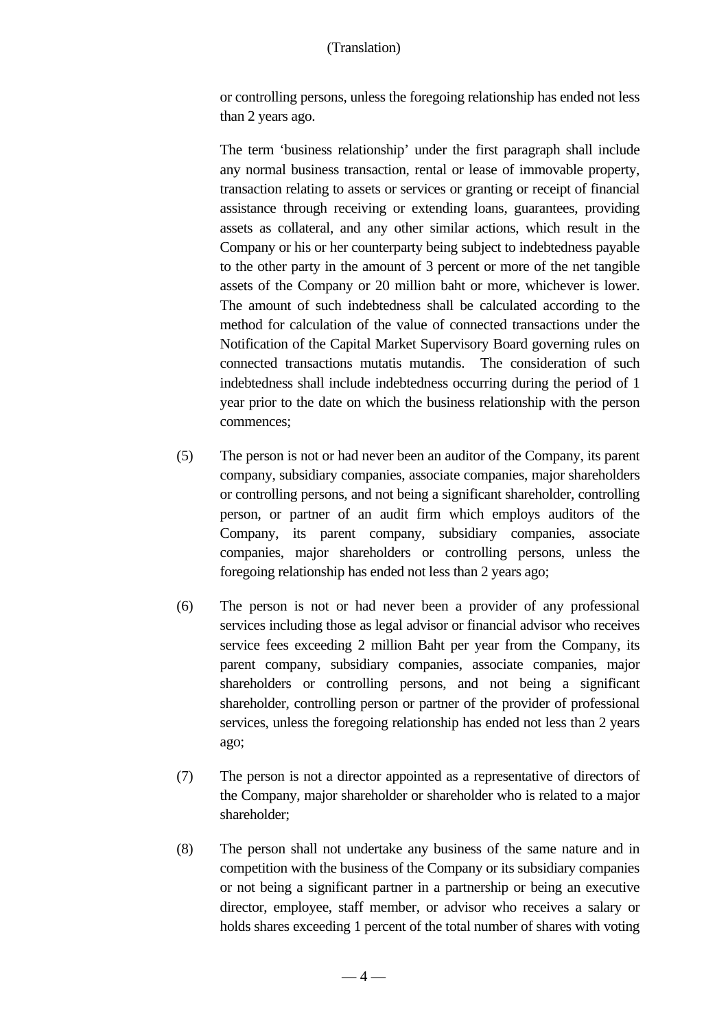or controlling persons, unless the foregoing relationship has ended not less than 2 years ago.

The term 'business relationship' under the first paragraph shall include any normal business transaction, rental or lease of immovable property, transaction relating to assets or services or granting or receipt of financial assistance through receiving or extending loans, guarantees, providing assets as collateral, and any other similar actions, which result in the Company or his or her counterparty being subject to indebtedness payable to the other party in the amount of 3 percent or more of the net tangible assets of the Company or 20 million baht or more, whichever is lower. The amount of such indebtedness shall be calculated according to the method for calculation of the value of connected transactions under the Notification of the Capital Market Supervisory Board governing rules on connected transactions mutatis mutandis. The consideration of such indebtedness shall include indebtedness occurring during the period of 1 year prior to the date on which the business relationship with the person commences;

- (5) The person is not or had never been an auditor of the Company, its parent company, subsidiary companies, associate companies, major shareholders or controlling persons, and not being a significant shareholder, controlling person, or partner of an audit firm which employs auditors of the Company, its parent company, subsidiary companies, associate companies, major shareholders or controlling persons, unless the foregoing relationship has ended not less than 2 years ago;
- (6) The person is not or had never been a provider of any professional services including those as legal advisor or financial advisor who receives service fees exceeding 2 million Baht per year from the Company, its parent company, subsidiary companies, associate companies, major shareholders or controlling persons, and not being a significant shareholder, controlling person or partner of the provider of professional services, unless the foregoing relationship has ended not less than 2 years ago;
- (7) The person is not a director appointed as a representative of directors of the Company, major shareholder or shareholder who is related to a major shareholder;
- (8) The person shall not undertake any business of the same nature and in competition with the business of the Company or its subsidiary companies or not being a significant partner in a partnership or being an executive director, employee, staff member, or advisor who receives a salary or holds shares exceeding 1 percent of the total number of shares with voting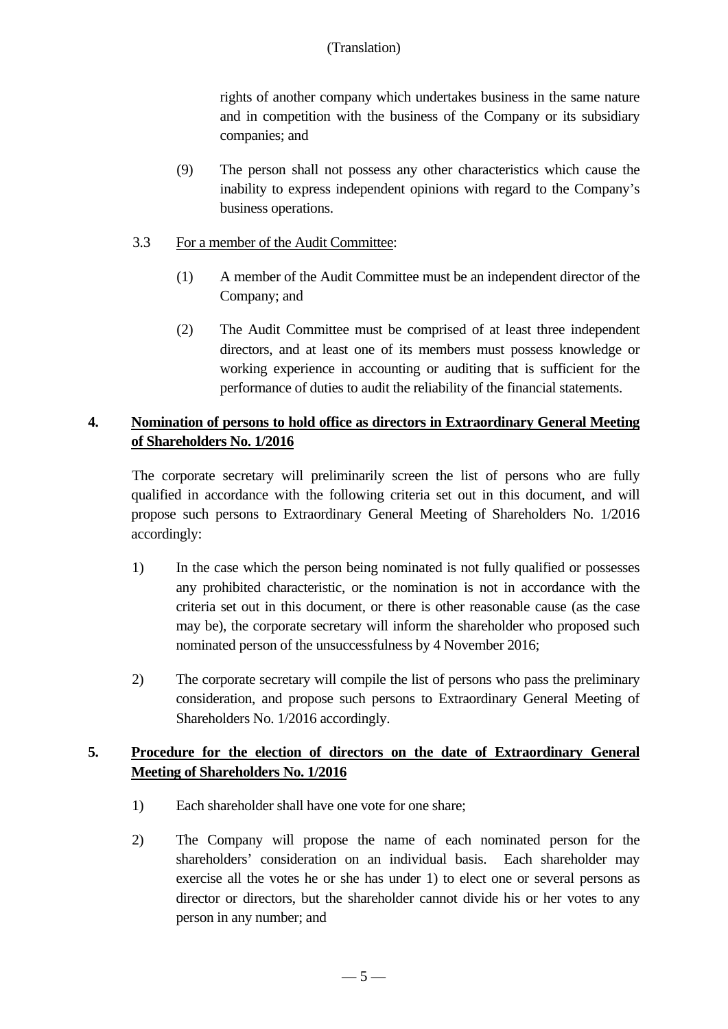rights of another company which undertakes business in the same nature and in competition with the business of the Company or its subsidiary companies; and

- (9) The person shall not possess any other characteristics which cause the inability to express independent opinions with regard to the Company's business operations.
- 3.3 For a member of the Audit Committee:
	- (1) A member of the Audit Committee must be an independent director of the Company; and
	- (2) The Audit Committee must be comprised of at least three independent directors, and at least one of its members must possess knowledge or working experience in accounting or auditing that is sufficient for the performance of duties to audit the reliability of the financial statements.

## **4. Nomination of persons to hold office as directors in Extraordinary General Meeting of Shareholders No. 1/2016**

The corporate secretary will preliminarily screen the list of persons who are fully qualified in accordance with the following criteria set out in this document, and will propose such persons to Extraordinary General Meeting of Shareholders No. 1/2016 accordingly:

- 1) In the case which the person being nominated is not fully qualified or possesses any prohibited characteristic, or the nomination is not in accordance with the criteria set out in this document, or there is other reasonable cause (as the case may be), the corporate secretary will inform the shareholder who proposed such nominated person of the unsuccessfulness by 4 November 2016;
- 2) The corporate secretary will compile the list of persons who pass the preliminary consideration, and propose such persons to Extraordinary General Meeting of Shareholders No. 1/2016 accordingly.

## **5. Procedure for the election of directors on the date of Extraordinary General Meeting of Shareholders No. 1/2016**

- 1) Each shareholder shall have one vote for one share;
- 2) The Company will propose the name of each nominated person for the shareholders' consideration on an individual basis. Each shareholder may exercise all the votes he or she has under 1) to elect one or several persons as director or directors, but the shareholder cannot divide his or her votes to any person in any number; and